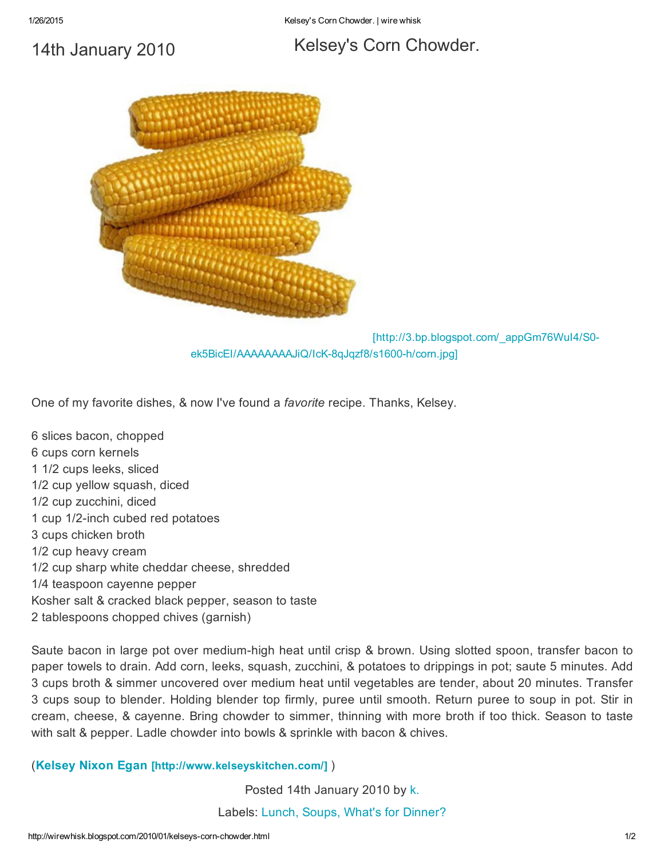1/26/2015 Kelsey's Corn Chowder. | wire whisk

## 14th [January](http://wirewhisk.blogspot.com/2010/01/kelseys-corn-chowder.html) 2010

## Kelsey's Corn [Chowder.](http://wirewhisk.blogspot.com/2010/01/kelseys-corn-chowder.html)



[http://3.bp.blogspot.com/\_appGm76WuI4/S0 ek5BicEI/AAAAAAAAJiQ/IcK-8qJqzf8/s1600-h/corn.jpg]

One of my favorite dishes, & now I've found a *favorite* recipe. Thanks, Kelsey.

6 slices bacon, chopped 6 cups corn kernels 1 1/2 cups leeks, sliced 1/2 cup yellow squash, diced 1/2 cup zucchini, diced 1 cup 1/2-inch cubed red potatoes 3 cups chicken broth 1/2 cup heavy cream 1/2 cup sharp white cheddar cheese, shredded 1/4 teaspoon cayenne pepper Kosher salt & cracked black pepper, season to taste 2 tablespoons chopped chives (garnish)

Saute bacon in large pot over medium-high heat until crisp & brown. Using slotted spoon, transfer bacon to paper towels to drain. Add corn, leeks, squash, zucchini, & potatoes to drippings in pot; saute 5 minutes. Add 3 cups broth & simmer uncovered over medium heat until vegetables are tender, about 20 minutes. Transfer 3 cups soup to blender. Holding blender top firmly, puree until smooth. Return puree to soup in pot. Stir in cream, cheese, & cayenne. Bring chowder to simmer, thinning with more broth if too thick. Season to taste with salt & pepper. Ladle chowder into bowls & sprinkle with bacon & chives.

(Kelsey Nixon Egan [\[http://www.kelseyskitchen.com/\]](http://www.kelseyskitchen.com/) )

Posted 14th January 2010 by [k.](http://www.blogger.com/profile/08162418985320044558)

Labels: [Lunch,](http://wirewhisk.blogspot.com/search/label/Lunch) [Soups,](http://wirewhisk.blogspot.com/search/label/Soups) What's for [Dinner?](http://wirewhisk.blogspot.com/search/label/What)